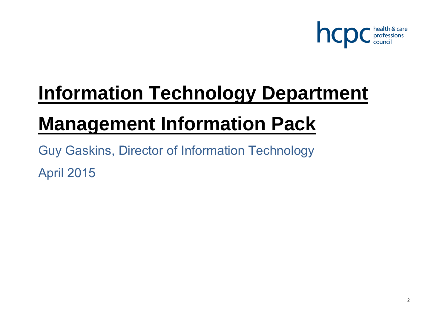

# **Information Technology Department**

## **Management Information Pack**

Guy Gaskins, Director of Information Technology April 2015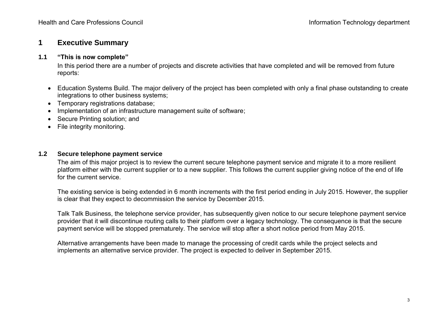## **1 Executive Summary**

#### **1.1 "This is now complete"**

In this period there are a number of projects and discrete activities that have completed and will be removed from future reports:

- Education Systems Build. The major delivery of the project has been completed with only a final phase outstanding to create integrations to other business systems;
- Temporary registrations database;
- Implementation of an infrastructure management suite of software;
- Secure Printing solution; and
- File integrity monitoring.

#### **1.2 Secure telephone payment service**

The aim of this major project is to review the current secure telephone payment service and migrate it to a more resilient platform either with the current supplier or to a new supplier. This follows the current supplier giving notice of the end of life for the current service.

The existing service is being extended in 6 month increments with the first period ending in July 2015. However, the supplier is clear that they expect to decommission the service by December 2015.

Talk Talk Business, the telephone service provider, has subsequently given notice to our secure telephone payment service provider that it will discontinue routing calls to their platform over a legacy technology. The consequence is that the secure payment service will be stopped prematurely. The service will stop after a short notice period from May 2015.

Alternative arrangements have been made to manage the processing of credit cards while the project selects and implements an alternative service provider. The project is expected to deliver in September 2015.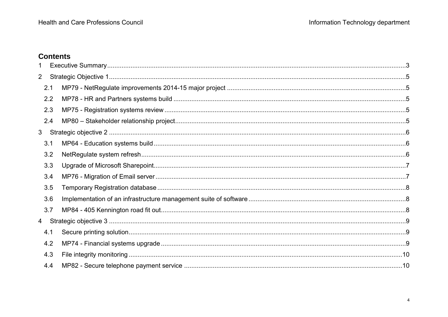## **Contents**

| 2 |     |  |
|---|-----|--|
|   | 2.1 |  |
|   | 2.2 |  |
|   | 2.3 |  |
|   | 2.4 |  |
| 3 |     |  |
|   | 3.1 |  |
|   | 3.2 |  |
|   | 3.3 |  |
|   | 3.4 |  |
|   | 3.5 |  |
|   | 3.6 |  |
|   | 3.7 |  |
| 4 |     |  |
|   | 4.1 |  |
|   | 4.2 |  |
|   | 4.3 |  |
|   | 4.4 |  |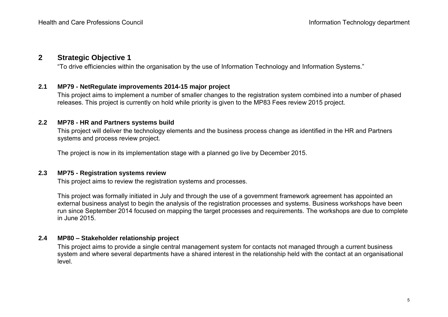### **2 Strategic Objective 1**

"To drive efficiencies within the organisation by the use of Information Technology and Information Systems."

#### **2.1 MP79 - NetRegulate improvements 2014-15 major project**

This project aims to implement a number of smaller changes to the registration system combined into a number of phased releases. This project is currently on hold while priority is given to the MP83 Fees review 2015 project.

#### **2.2 MP78 - HR and Partners systems build**

This project will deliver the technology elements and the business process change as identified in the HR and Partners systems and process review project.

The project is now in its implementation stage with a planned go live by December 2015.

#### **2.3 MP75 - Registration systems review**

This project aims to review the registration systems and processes.

This project was formally initiated in July and through the use of a government framework agreement has appointed an external business analyst to begin the analysis of the registration processes and systems. Business workshops have been run since September 2014 focused on mapping the target processes and requirements. The workshops are due to complete in June 2015.

#### **2.4 MP80 – Stakeholder relationship project**

This project aims to provide a single central management system for contacts not managed through a current business system and where several departments have a shared interest in the relationship held with the contact at an organisational level.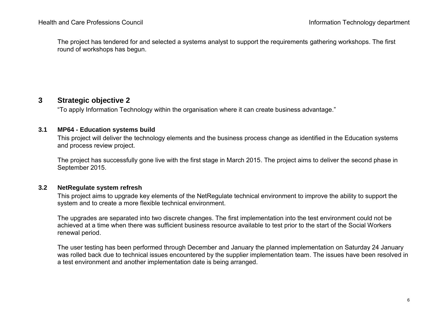The project has tendered for and selected a systems analyst to support the requirements gathering workshops. The first round of workshops has begun.

## **3 Strategic objective 2**

"To apply Information Technology within the organisation where it can create business advantage."

#### **3.1 MP64 - Education systems build**

This project will deliver the technology elements and the business process change as identified in the Education systems and process review project.

The project has successfully gone live with the first stage in March 2015. The project aims to deliver the second phase in September 2015.

#### **3.2 NetRegulate system refresh**

This project aims to upgrade key elements of the NetRegulate technical environment to improve the ability to support the system and to create a more flexible technical environment.

The upgrades are separated into two discrete changes. The first implementation into the test environment could not be achieved at a time when there was sufficient business resource available to test prior to the start of the Social Workers renewal period.

The user testing has been performed through December and January the planned implementation on Saturday 24 January was rolled back due to technical issues encountered by the supplier implementation team. The issues have been resolved in a test environment and another implementation date is being arranged.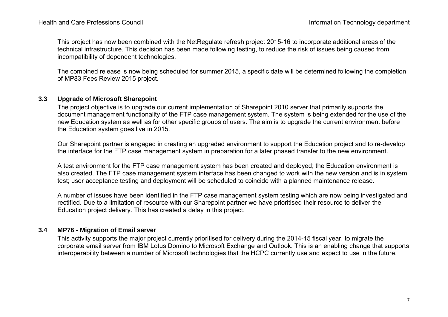This project has now been combined with the NetRegulate refresh project 2015-16 to incorporate additional areas of the technical infrastructure. This decision has been made following testing, to reduce the risk of issues being caused from incompatibility of dependent technologies.

The combined release is now being scheduled for summer 2015, a specific date will be determined following the completion of MP83 Fees Review 2015 project.

#### **3.3 Upgrade of Microsoft Sharepoint**

The project objective is to upgrade our current implementation of Sharepoint 2010 server that primarily supports the document management functionality of the FTP case management system. The system is being extended for the use of the new Education system as well as for other specific groups of users. The aim is to upgrade the current environment before the Education system goes live in 2015.

Our Sharepoint partner is engaged in creating an upgraded environment to support the Education project and to re-develop the interface for the FTP case management system in preparation for a later phased transfer to the new environment.

A test environment for the FTP case management system has been created and deployed; the Education environment is also created. The FTP case management system interface has been changed to work with the new version and is in system test; user acceptance testing and deployment will be scheduled to coincide with a planned maintenance release.

A number of issues have been identified in the FTP case management system testing which are now being investigated and rectified. Due to a limitation of resource with our Sharepoint partner we have prioritised their resource to deliver the Education project delivery. This has created a delay in this project.

#### **3.4 MP76 - Migration of Email server**

This activity supports the major project currently prioritised for delivery during the 2014-15 fiscal year, to migrate the corporate email server from IBM Lotus Domino to Microsoft Exchange and Outlook. This is an enabling change that supports interoperability between a number of Microsoft technologies that the HCPC currently use and expect to use in the future.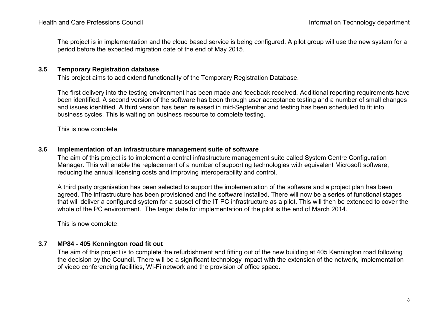The project is in implementation and the cloud based service is being configured. A pilot group will use the new system for a period before the expected migration date of the end of May 2015.

#### **3.5 Temporary Registration database**

This project aims to add extend functionality of the Temporary Registration Database.

The first delivery into the testing environment has been made and feedback received. Additional reporting requirements have been identified. A second version of the software has been through user acceptance testing and a number of small changes and issues identified. A third version has been released in mid-September and testing has been scheduled to fit into business cycles. This is waiting on business resource to complete testing.

This is now complete.

#### **3.6 Implementation of an infrastructure management suite of software**

The aim of this project is to implement a central infrastructure management suite called System Centre Configuration Manager. This will enable the replacement of a number of supporting technologies with equivalent Microsoft software, reducing the annual licensing costs and improving interoperability and control.

A third party organisation has been selected to support the implementation of the software and a project plan has been agreed. The infrastructure has been provisioned and the software installed. There will now be a series of functional stages that will deliver a configured system for a subset of the IT PC infrastructure as a pilot. This will then be extended to cover the whole of the PC environment. The target date for implementation of the pilot is the end of March 2014.

This is now complete.

#### **3.7 MP84 - 405 Kennington road fit out**

The aim of this project is to complete the refurbishment and fitting out of the new building at 405 Kennington road following the decision by the Council. There will be a significant technology impact with the extension of the network, implementation of video conferencing facilities, Wi-Fi network and the provision of office space.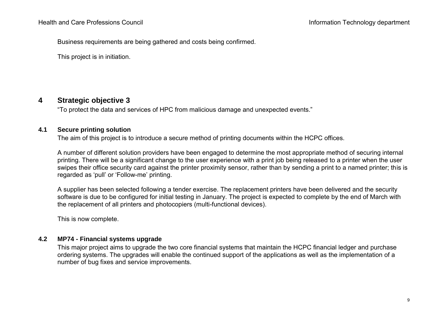Business requirements are being gathered and costs being confirmed.

This project is in initiation.

## **4 Strategic objective 3**

"To protect the data and services of HPC from malicious damage and unexpected events."

#### **4.1 Secure printing solution**

The aim of this project is to introduce a secure method of printing documents within the HCPC offices.

A number of different solution providers have been engaged to determine the most appropriate method of securing internal printing. There will be a significant change to the user experience with a print job being released to a printer when the user swipes their office security card against the printer proximity sensor, rather than by sending a print to a named printer; this is regarded as 'pull' or 'Follow-me' printing.

A supplier has been selected following a tender exercise. The replacement printers have been delivered and the security software is due to be configured for initial testing in January. The project is expected to complete by the end of March with the replacement of all printers and photocopiers (multi-functional devices).

This is now complete.

#### **4.2 MP74 - Financial systems upgrade**

This major project aims to upgrade the two core financial systems that maintain the HCPC financial ledger and purchase ordering systems. The upgrades will enable the continued support of the applications as well as the implementation of a number of bug fixes and service improvements.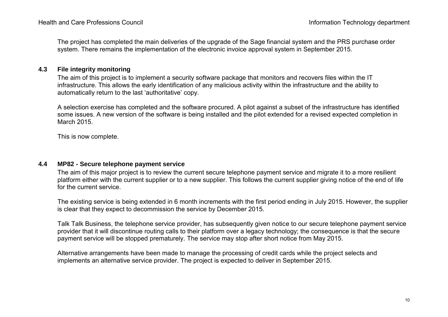The project has completed the main deliveries of the upgrade of the Sage financial system and the PRS purchase order system. There remains the implementation of the electronic invoice approval system in September 2015.

#### **4.3 File integrity monitoring**

The aim of this project is to implement a security software package that monitors and recovers files within the IT infrastructure. This allows the early identification of any malicious activity within the infrastructure and the ability to automatically return to the last 'authoritative' copy.

A selection exercise has completed and the software procured. A pilot against a subset of the infrastructure has identified some issues. A new version of the software is being installed and the pilot extended for a revised expected completion in March 2015.

This is now complete.

#### **4.4 MP82 - Secure telephone payment service**

The aim of this major project is to review the current secure telephone payment service and migrate it to a more resilient platform either with the current supplier or to a new supplier. This follows the current supplier giving notice of the end of life for the current service.

The existing service is being extended in 6 month increments with the first period ending in July 2015. However, the supplier is clear that they expect to decommission the service by December 2015.

Talk Talk Business, the telephone service provider, has subsequently given notice to our secure telephone payment service provider that it will discontinue routing calls to their platform over a legacy technology; the consequence is that the secure payment service will be stopped prematurely. The service may stop after short notice from May 2015.

Alternative arrangements have been made to manage the processing of credit cards while the project selects and implements an alternative service provider. The project is expected to deliver in September 2015.